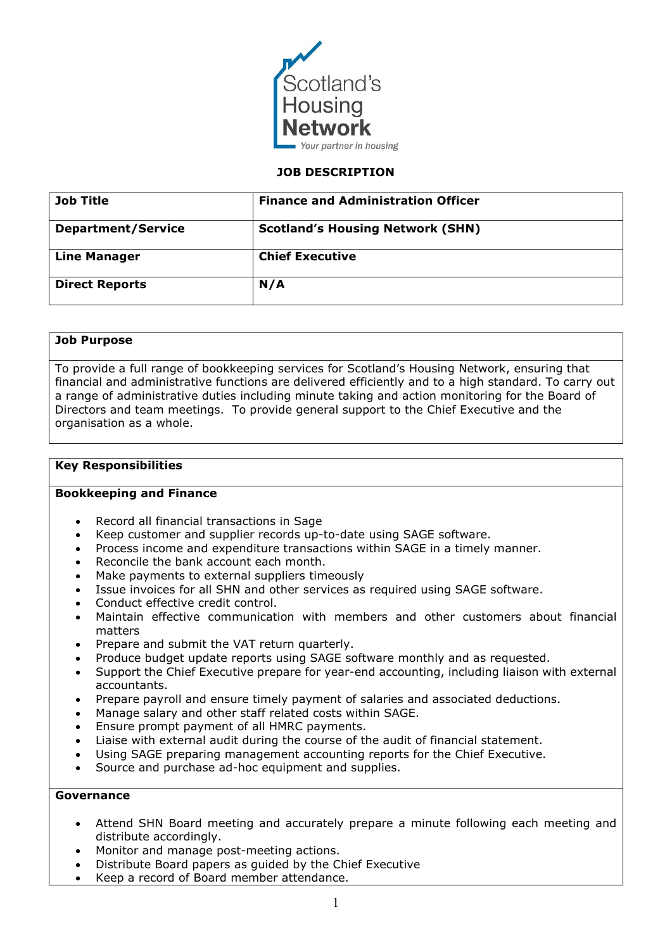

### **JOB DESCRIPTION**

| <b>Job Title</b>          | <b>Finance and Administration Officer</b> |  |
|---------------------------|-------------------------------------------|--|
| <b>Department/Service</b> | <b>Scotland's Housing Network (SHN)</b>   |  |
| <b>Line Manager</b>       | <b>Chief Executive</b>                    |  |
| <b>Direct Reports</b>     | N/A                                       |  |

# **Job Purpose**

To provide a full range of bookkeeping services for Scotland's Housing Network, ensuring that financial and administrative functions are delivered efficiently and to a high standard. To carry out a range of administrative duties including minute taking and action monitoring for the Board of Directors and team meetings. To provide general support to the Chief Executive and the organisation as a whole.

## **Key Responsibilities**

### **Bookkeeping and Finance**

- Record all financial transactions in Sage
- Keep customer and supplier records up-to-date using SAGE software.
- Process income and expenditure transactions within SAGE in a timely manner.
- Reconcile the bank account each month.
- Make payments to external suppliers timeously
- Issue invoices for all SHN and other services as required using SAGE software.
- Conduct effective credit control.
- Maintain effective communication with members and other customers about financial matters
- Prepare and submit the VAT return quarterly.
- Produce budget update reports using SAGE software monthly and as requested.
- Support the Chief Executive prepare for year-end accounting, including liaison with external accountants.
- Prepare payroll and ensure timely payment of salaries and associated deductions.
- Manage salary and other staff related costs within SAGE.
- Ensure prompt payment of all HMRC payments.
- Liaise with external audit during the course of the audit of financial statement.
- Using SAGE preparing management accounting reports for the Chief Executive.
- Source and purchase ad-hoc equipment and supplies.

# **Governance**

- Attend SHN Board meeting and accurately prepare a minute following each meeting and distribute accordingly.
- Monitor and manage post-meeting actions.
- Distribute Board papers as guided by the Chief Executive
- Keep a record of Board member attendance.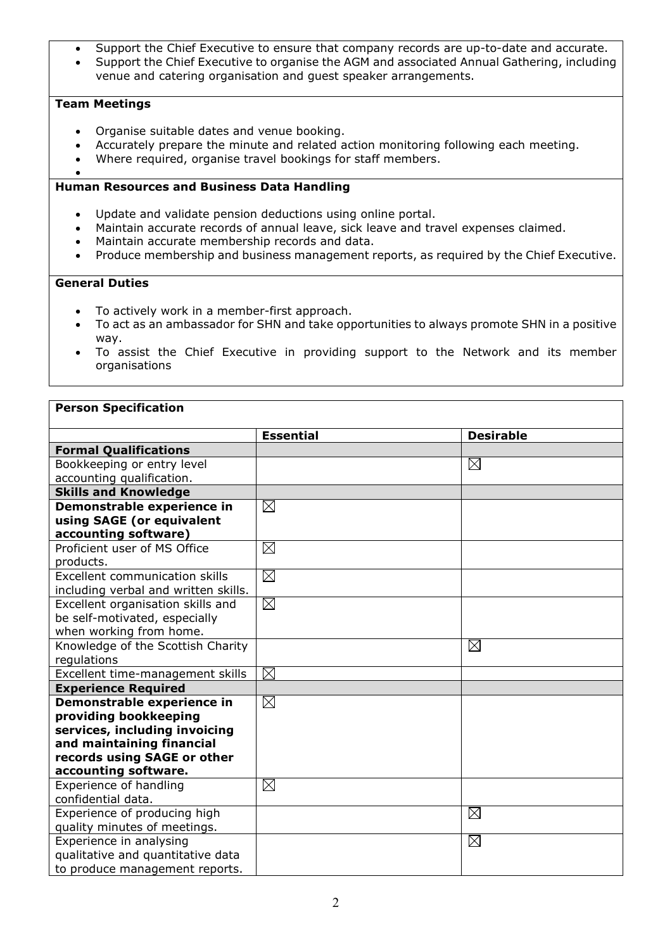- Support the Chief Executive to ensure that company records are up-to-date and accurate.
- Support the Chief Executive to organise the AGM and associated Annual Gathering, including venue and catering organisation and guest speaker arrangements.

# **Team Meetings**

- Organise suitable dates and venue booking.
- Accurately prepare the minute and related action monitoring following each meeting.
- Where required, organise travel bookings for staff members.
- •

## **Human Resources and Business Data Handling**

- Update and validate pension deductions using online portal.
- Maintain accurate records of annual leave, sick leave and travel expenses claimed.
- Maintain accurate membership records and data.
- Produce membership and business management reports, as required by the Chief Executive.

# **General Duties**

- To actively work in a member-first approach.
- To act as an ambassador for SHN and take opportunities to always promote SHN in a positive way.
- To assist the Chief Executive in providing support to the Network and its member organisations

### **Person Specification**

|                                      | <b>Essential</b> | <b>Desirable</b> |
|--------------------------------------|------------------|------------------|
| <b>Formal Qualifications</b>         |                  |                  |
| Bookkeeping or entry level           |                  | $\boxtimes$      |
| accounting qualification.            |                  |                  |
| <b>Skills and Knowledge</b>          |                  |                  |
| Demonstrable experience in           | $\boxtimes$      |                  |
| using SAGE (or equivalent            |                  |                  |
| accounting software)                 |                  |                  |
| Proficient user of MS Office         | $\boxtimes$      |                  |
| products.                            |                  |                  |
| Excellent communication skills       | $\boxtimes$      |                  |
| including verbal and written skills. |                  |                  |
| Excellent organisation skills and    | $\boxtimes$      |                  |
| be self-motivated, especially        |                  |                  |
| when working from home.              |                  |                  |
| Knowledge of the Scottish Charity    |                  | $\boxtimes$      |
| regulations                          |                  |                  |
| Excellent time-management skills     | $\boxtimes$      |                  |
| <b>Experience Required</b>           |                  |                  |
| Demonstrable experience in           | $\boxtimes$      |                  |
| providing bookkeeping                |                  |                  |
| services, including invoicing        |                  |                  |
| and maintaining financial            |                  |                  |
| records using SAGE or other          |                  |                  |
| accounting software.                 |                  |                  |
| Experience of handling               | $\boxtimes$      |                  |
| confidential data.                   |                  |                  |
| Experience of producing high         |                  | $\boxtimes$      |
| quality minutes of meetings.         |                  |                  |
| Experience in analysing              |                  | $\boxtimes$      |
| qualitative and quantitative data    |                  |                  |
| to produce management reports.       |                  |                  |